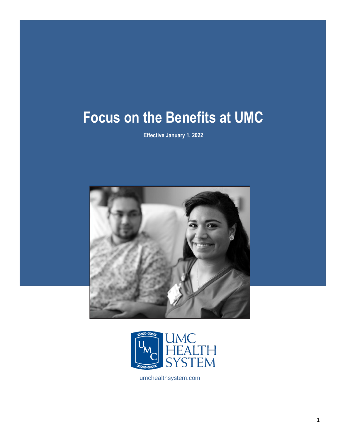# **Focus on the Benefits at UMC**

**Effective January 1, 2022**





umchealthsystem.com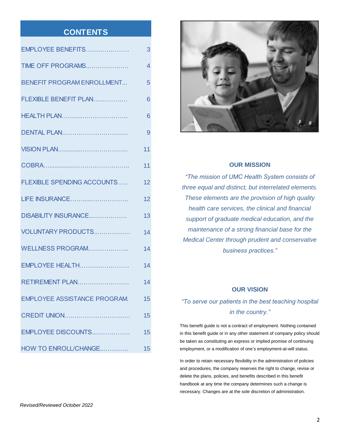# **CONTENTS**

| EMPLOYEE BENEFITS                   | 3  |
|-------------------------------------|----|
| TIME OFF PROGRAMS                   | 4  |
| <b>BENEFIT PROGRAM ENROLLMENT</b>   | 5  |
| FLEXIBLE BENEFIT PLAN               | 6  |
| <b>HEALTH PLAN</b>                  | 6  |
| <b>DENTAL PLAN</b>                  | 9  |
|                                     | 11 |
|                                     | 11 |
| <b>FLEXIBLE SPENDING ACCOUNTS</b>   | 12 |
| LIFE INSURANCE                      | 12 |
| DISABILITY INSURANCE                | 13 |
| VOLUNTARY PRODUCTS                  | 14 |
| WELLNESS PROGRAM                    | 14 |
| EMPLOYEE HEALTH                     | 14 |
| <b>RETIREMENT PLAN</b>              | 14 |
| <b>EMPLOYEE ASSISTANCE PROGRAM.</b> | 15 |
| <b>CREDIT UNION</b>                 | 15 |
| EMPLOYEE DISCOUNTS                  | 15 |
| HOW TO ENROLL/CHANGE                | 15 |



### **OUR MISSION**

*"The mission of UMC Health System consists of three equal and distinct, but interrelated elements. These elements are the provision of high quality health care services, the clinical and financial support of graduate medical education, and the maintenance of a strong financial base for the Medical Center through prudent and conservative business practices."*

### **OUR VISION**

# *"To serve our patients in the best teaching hospital in the country."*

This benefit guide is not a contract of employment. Nothing contained in this benefit guide or in any other statement of company policy should be taken as constituting an express or implied promise of continuing employment, or a modification of one's employment-at-will status.

In order to retain necessary flexibility in the administration of policies and procedures, the company reserves the right to change, revise or delete the plans, policies, and benefits described in this benefit handbook at any time the company determines such a change is necessary. Changes are at the sole discretion of administration.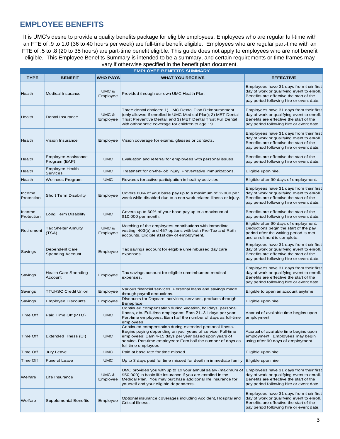# **EMPLOYEE BENEFITS**

It is UMC's desire to provide a quality benefits package for eligible employees. Employees who are regular full-time with an FTE of .9 to 1.0 (36 to 40 hours per week) are full-time benefit eligible. Employees who are regular part-time with an FTE of .5 to .8 (20 to 35 hours) are part-time benefit eligible. This guide does not apply to employees who are not benefit eligible. This Employee Benefits Summary is intended to be a summary, and certain requirements or time frames may vary if otherwise specified in the benefit plan document.

|                      | <b>EMPLOYEE BENEFITS SUMMARY</b>            |                   |                                                                                                                                                                                                                                                                            |                                                                                                                                                                              |  |
|----------------------|---------------------------------------------|-------------------|----------------------------------------------------------------------------------------------------------------------------------------------------------------------------------------------------------------------------------------------------------------------------|------------------------------------------------------------------------------------------------------------------------------------------------------------------------------|--|
| <b>TYPE</b>          | <b>BENEFIT</b>                              | <b>WHO PAYS</b>   | <b>WHAT YOU RECEIVE</b>                                                                                                                                                                                                                                                    | <b>EFFECTIVE</b>                                                                                                                                                             |  |
| Health               | <b>Medical Insurance</b>                    | UMC &<br>Employee | Provided through our own UMC Health Plan.                                                                                                                                                                                                                                  | Employees have 31 days from their first<br>day of work or qualifying event to enroll.<br>Benefits are effective the start of the<br>pay period following hire or event date. |  |
| Health               | Dental Insurance                            | UMC &<br>Employee | Three dental choices: 1) UMC Dental Plan Reimbursement<br>(only allowed if enrolled in UMC Medical Plan); 2) MET Dental<br>Trust Preventive Dental; and 3) MET Dental Trust Full Dental<br>with orthodontic coverage for children to age 19.                               | Employees have 31 days from their first<br>day of work or qualifying event to enroll.<br>Benefits are effective the start of the<br>pay period following hire or event date. |  |
| Health               | Vision Insurance                            | Employee          | Vision coverage for exams, glasses or contacts.                                                                                                                                                                                                                            | Employees have 31 days from their first<br>day of work or qualifying event to enroll.<br>Benefits are effective the start of the<br>pay period following hire or event date. |  |
| Health               | <b>Employee Assistance</b><br>Program (EAP) | <b>UMC</b>        | Evaluation and referral for employees with personal issues.                                                                                                                                                                                                                | Benefits are effective the start of the<br>pay period following hire or event date.                                                                                          |  |
| Health               | <b>Employee Health</b><br>Services          | <b>UMC</b>        | Treatment for on-the-job injury. Preventative immunizations.                                                                                                                                                                                                               | Eligible upon hire.                                                                                                                                                          |  |
| <b>Health</b>        | Wellness Program                            | <b>UMC</b>        | Rewards for active participation in healthy activities                                                                                                                                                                                                                     | Eligible after 90 days of employment.                                                                                                                                        |  |
| Income<br>Protection | Short Term Disability                       | Employee          | Covers 60% of your base pay up to a maximum of \$2000 per<br>week while disabled due to a non-work related illness or injury.                                                                                                                                              | Employees have 31 days from their first<br>day of work or qualifying event to enroll.<br>Benefits are effective the start of the<br>pay period following hire or event date. |  |
| Income<br>Protection | Long Term Disability                        | <b>UMC</b>        | Covers up to 60% of your base pay up to a maximum of<br>\$10,000 per month.                                                                                                                                                                                                | Benefits are effective the start of the<br>pay period following hire or event date.                                                                                          |  |
| Retirement           | Tax Shelter Annuity<br>(TSA)                | UMC &<br>Employee | Matching of the employees contributions with immediate<br>vesting. 403(b) and 457 options with both Pre-Tax and Roth<br>accounts. Eligible 91st day of employment.                                                                                                         | Eligible after 90 days of employment.<br>Deductions begin the start of the pay<br>period after the waiting period is met<br>and enrollment is complete.                      |  |
| Savings              | Dependent Care<br><b>Spending Account</b>   | Employee          | Tax savings account for eligible unreimbursed day care<br>expenses.                                                                                                                                                                                                        | Employees have 31 days from their first<br>day of work or qualifying event to enroll.<br>Benefits are effective the start of the<br>pay period following hire or event date. |  |
| Savings              | <b>Health Care Spending</b><br>Account      | Employee          | Tax savings account for eligible unreimbursed medical<br>expenses.                                                                                                                                                                                                         | Employees have 31 days from their first<br>day of work or qualifying event to enroll.<br>Benefits are effective the start of the<br>pay period following hire or event date. |  |
| Savings              | TTUHSC Credit Union                         | Employee          | Various financial services. Personal loans and savings made<br>through payroll deductions.                                                                                                                                                                                 | Eligible to open an account anytime                                                                                                                                          |  |
| Savings              | Employee Discounts                          | Employee          | Discounts for Daycare, activities, services, products through<br>Beneplace                                                                                                                                                                                                 | Eligible upon hire.                                                                                                                                                          |  |
| Time Off             | Paid Time Off (PTO)                         | <b>UMC</b>        | Continued compensation during vacation, holidays, personal<br>illness, etc. Full-time employees: Earn 21-31 days per year.<br>Part-time employees: Earn half the number of days as full-time<br>employees.                                                                 | Accrual of available time begins upon<br>employment.                                                                                                                         |  |
| <b>Time Off</b>      | Extended Illness (EI)                       | <b>UMC</b>        | Continued compensation during extended personal illness.<br>Begins paying depending on your years of service. Full-time<br>employees: Earn 4-15 days per year based upon years of<br>service. Part-time employees: Earn half the number of days as<br>full-time employees. | Accrual of available time begins upon<br>employment. Employees may begin<br>using after 90 days of employment                                                                |  |
| Time Off             | Jury Leave                                  | <b>UMC</b>        | Paid at base rate for time missed.                                                                                                                                                                                                                                         | Eligible upon hire                                                                                                                                                           |  |
| <b>Time Off</b>      | <b>Funeral Leave</b>                        | <b>UMC</b>        | Up to 3 days paid for time missed for death in immediate family. Eligible upon hire                                                                                                                                                                                        |                                                                                                                                                                              |  |
| Welfare              | Life Insurance                              | UMC &<br>Employee | UMC provides you with up to 1x your annual salary (maximum of<br>\$50,000) in basic life insurance if you are enrolled in the<br>Medical Plan. You may purchase additional life insurance for<br>yourself and your eligible dependents.                                    | Employees have 31 days from their first<br>day of work or qualifying event to enroll.<br>Benefits are effective the start of the<br>pay period following hire or event date. |  |
| Welfare              | <b>Supplemental Benefits</b>                | Employee          | Optional insurance coverages including Accident, Hospital and<br>Critical Illness.                                                                                                                                                                                         | Employees have 31 days from their first<br>day of work or qualifying event to enroll.<br>Benefits are effective the start of the<br>pay period following hire or event date. |  |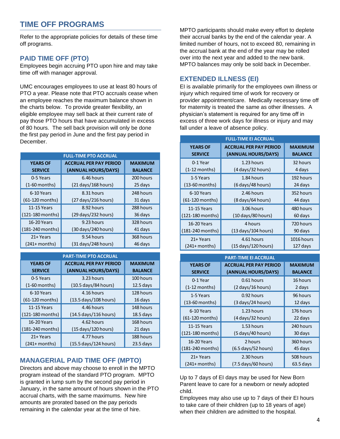# **TIME OFF PROGRAMS**

Refer to the appropriate policies for details of these time off programs.

### **PAID TIME OFF (PTO)**

Employees begin accruing PTO upon hire and may take time off with manager approval.

UMC encourages employees to use at least 80 hours of PTO a year. Please note that PTO accruals cease when an employee reaches the maximum balance shown in the charts below. To provide greater flexibility, an eligible employee may sell back at their current rate of pay those PTO hours that have accumulated in excess of 80 hours. The sell back provision will only be done the first pay period in June and the first pay period in December.

| <b>FULL-TIME PTO ACCRUAL</b> |                                           |                |  |
|------------------------------|-------------------------------------------|----------------|--|
| <b>YEARS OF</b>              | <b>MAXIMUM</b>                            |                |  |
| <b>SERVICE</b>               | (ANNUAL HOURS/DAYS)                       | <b>BALANCE</b> |  |
| 0-5 Years                    | 6.46 hours                                | 200 hours      |  |
| $(1-60$ months)              | (21 days/168 hours)                       | 25 days        |  |
| 6-10 Years                   | 8.31 hours                                | 248 hours      |  |
| (61-120 months)              | (27 days/216 hours)                       | 31 days        |  |
| 11-15 Years                  | 8.92 hours                                | 288 hours      |  |
| (121-180 months)             | $(29 \, \text{days}/232 \, \text{hours})$ | 36 days        |  |
| 16-20 Years                  | 9.23 hours                                | 328 hours      |  |
| (181-240 months)             | (30 days/240 hours)                       | 41 days        |  |
| 21+ Years                    | 9.54 hours                                | 368 hours      |  |
| $(241+$ months)              | (31 days/248 hours)                       | 46 days        |  |

| <b>PART-TIME PTO ACCRUAL</b> |                                       |                |  |  |
|------------------------------|---------------------------------------|----------------|--|--|
| <b>YEARS OF</b>              | <b>MAXIMUM</b>                        |                |  |  |
| <b>SERVICE</b>               | (ANNUAL HOURS/DAYS)                   | <b>BALANCE</b> |  |  |
| 0-5 Years                    | 3.23 hours                            | 100 hours      |  |  |
| $(1-60$ months)              | (10.5 days/84 hours)                  | $12.5$ days    |  |  |
| 6-10 Years                   | 4.16 hours                            | 128 hours      |  |  |
| $(61-120$ months)            | (13.5 days/108 hours)                 | 16 days        |  |  |
| 11-15 Years                  | 4.46 hours                            | 148 hours      |  |  |
| (121-180 months)             | (14.5 days/116 hours)                 | $18.5$ days    |  |  |
| 16-20 Years                  | 4.62 hours                            | 168 hours      |  |  |
| (181-240 months)             | $(15 \text{ days}/120 \text{ hours})$ | 21 days        |  |  |
| 21+ Years                    | 4.77 hours                            | 188 hours      |  |  |
| (241+ months)                | (15.5 days/124 hours)                 | $23.5$ days    |  |  |

### **MANAGERIAL PAID TIME OFF (MPTO)**

Directors and above may choose to enroll in the MPTO program instead of the standard PTO program. MPTO is granted in lump sum by the second pay period in January, in the same amount of hours shown in the PTO accrual charts, with the same maximums. New hire amounts are prorated based on the pay periods remaining in the calendar year at the time of hire.

MPTO participants should make every effort to deplete their accrual banks by the end of the calendar year. A limited number of hours, not to exceed 80, remaining in the accrual bank at the end of the year may be rolled over into the next year and added to the new bank. MPTO balances may only be sold back in December.

### **EXTENDED ILLNESS (EI)**

EI is available primarily for the employees own illness or injury which required time of work for recovery or provider appointment/care. Medically necessary time off for maternity is treated the same as other illnesses. A physician's statement is required for any time off in excess of three work days for illness or injury and may fall under a leave of absence policy.

| <b>FULL-TIME EI ACCRUAL</b> |                                         |                |  |  |
|-----------------------------|-----------------------------------------|----------------|--|--|
| <b>YEARS OF</b>             | <b>ACCRUAL PER PAY PERIOD</b>           | <b>MAXIMUM</b> |  |  |
| <b>SERVICE</b>              | (ANNUAL HOURS/DAYS)                     | <b>BALANCE</b> |  |  |
| 0-1 Year                    | 1.23 hours                              | 32 hours       |  |  |
| (1-12 months)               | $(4 \, days/32 \, hours)$               | 4 days         |  |  |
| 1-5 Years                   | 1.84 hours                              | 192 hours      |  |  |
| $(13-60$ months)            | $(6 \, days/48 \, hours)$               | 24 days        |  |  |
| 6-10 Years                  | 2.46 hours                              | 352 hours      |  |  |
| $(61-120$ months)           | $(8 \, \text{days}/64 \, \text{hours})$ | 44 days        |  |  |
| 11-15 Years                 | 3.06 hours                              | 480 hours      |  |  |
| (121-180 months)            | (10 days/80 hours)                      | 60 days        |  |  |
| 16-20 Years                 | 4 hours                                 | 720 hours      |  |  |
| (181-240 months)            | $(13 \text{ days}/104 \text{ hours})$   | 90 days        |  |  |
| 21+ Years                   | 4.61 hours                              | 1016 hours     |  |  |
| (241+ months)               | (15 days/120 hours)                     | 127 days       |  |  |

|                 | <b>PART-TIME EI ACCRUAL</b> |                                     |                |  |  |
|-----------------|-----------------------------|-------------------------------------|----------------|--|--|
| <b>YEARS OF</b> |                             | <b>ACCRUAL PER PAY PERIOD</b>       | <b>MAXIMUM</b> |  |  |
| <b>SERVICE</b>  |                             | (ANNUAL HOURS/DAYS)                 | <b>BALANCE</b> |  |  |
|                 | 0-1 Year                    | $0.61$ hours                        | 16 hours       |  |  |
|                 | (1-12 months)               | $(2 \frac{days}{16} \text{ hours})$ | 2 days         |  |  |
|                 | 1-5 Years                   | 0.92 hours                          | 96 hours       |  |  |
|                 | $(13-60$ months)            | (3 days/24 hours)                   | 12 days        |  |  |
|                 | 6-10 Years                  | $1.23$ hours                        | 176 hours      |  |  |
|                 | $(61-120$ months)           | (4 days/32 hours)                   | 22 days        |  |  |
|                 | 11-15 Years                 | 1.53 hours                          | 240 hours      |  |  |
|                 | (121-180 months)            | (5 days/40 hours)                   | 30 days        |  |  |
|                 | 16-20 Years                 | 2 hours                             | 360 hours      |  |  |
|                 | (181-240 months)            | (6.5 days/52 hours)                 | 45 days        |  |  |
|                 | 21+ Years                   | 2.30 hours                          | 508 hours      |  |  |
|                 | (241+ months)               | (7.5 days/60 hours)                 | $63.5$ days    |  |  |

Up to 7 days of EI days may be used for New Born Parent leave to care for a newborn or newly adopted child.

Employees may also use up to 7 days of their EI hours to take care of their children (up to 18 years of age) when their children are admitted to the hospital.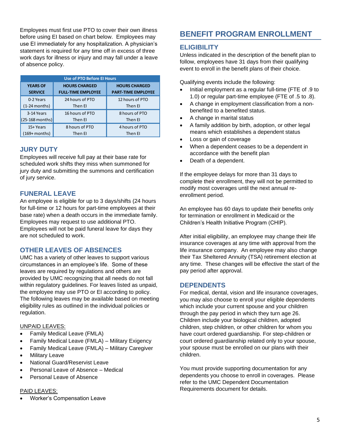Employees must first use PTO to cover their own illness before using EI based on chart below. Employees may use EI immediately for any hospitalization. A physician's statement is required for any time off in excess of three work days for illness or injury and may fall under a leave of absence policy.

| <b>Use of PTO Before El Hours</b> |                           |                           |  |  |
|-----------------------------------|---------------------------|---------------------------|--|--|
| <b>YEARS OF</b>                   | <b>HOURS CHARGED</b>      | <b>HOURS CHARGED</b>      |  |  |
| <b>SERVICE</b>                    | <b>FULL-TIME EMPLOYEE</b> | <b>PART-TIME EMPLOYEE</b> |  |  |
| 0-2 Years                         | 24 hours of PTO           | 12 hours of PTO           |  |  |
| (1-24 months)                     | Then El                   | Then El                   |  |  |
| 3-14 Years                        | 16 hours of PTO           | 8 hours of PTO            |  |  |
| $(25-168$ months)                 | Then El                   | Then El                   |  |  |
| 15+ Years                         | 8 hours of PTO            | 4 hours of PTO            |  |  |
| (169+ months)                     | Then El                   | Then El                   |  |  |

### **JURY DUTY**

Employees will receive full pay at their base rate for scheduled work shifts they miss when summoned for jury duty and submitting the summons and certification of jury service.

### **FUNERAL LEAVE**

An employee is eligible for up to 3 days/shifts (24 hours for full-time or 12 hours for part-time employees at their base rate) when a death occurs in the immediate family. Employees may request to use additional PTO. Employees will not be paid funeral leave for days they are not scheduled to work.

### **OTHER LEAVES OF ABSENCES**

UMC has a variety of other leaves to support various circumstances in an employee's life. Some of these leaves are required by regulations and others are provided by UMC recognizing that all needs do not fall within regulatory guidelines. For leaves listed as unpaid, the employee may use PTO or EI according to policy. The following leaves may be available based on meeting eligibility rules as outlined in the individual policies or regulation.

#### UNPAID LEAVES:

- Family Medical Leave (FMLA)
- Family Medical Leave (FMLA) Military Exigency
- Family Medical Leave (FMLA) Military Caregiver
- **Military Leave**
- National Guard/Reservist Leave
- Personal Leave of Absence Medical
- Personal Leave of Absence

### PAID LEAVES:

• Worker's Compensation Leave

# **BENEFIT PROGRAM ENROLLMENT**

### **ELIGIBILITY**

Unless indicated in the description of the benefit plan to follow, employees have 31 days from their qualifying event to enroll in the benefit plans of their choice.

Qualifying events include the following:

- Initial employment as a regular full-time (FTE of .9 to 1.0) or regular part-time employee (FTE of .5 to .8).
- A change in employment classification from a nonbenefited to a benefited status.
- A change in marital status
- A family addition by birth, adoption, or other legal means which establishes a dependent status
- Loss or gain of coverage
- When a dependent ceases to be a dependent in accordance with the benefit plan
- Death of a dependent.

If the employee delays for more than 31 days to complete their enrollment, they will not be permitted to modify most coverages until the next annual reenrollment period.

An employee has 60 days to update their benefits only for termination or enrollment in Medicaid or the Children's Health Initiative Program (CHIP).

After initial eligibility, an employee may change their life insurance coverages at any time with approval from the life insurance company. An employee may also change their Tax Sheltered Annuity (TSA) retirement election at any time. These changes will be effective the start of the pay period after approval.

### **DEPENDENTS**

For medical, dental, vision and life insurance coverages, you may also choose to enroll your eligible dependents which include your current spouse and your children through the pay period in which they turn age 26. Children include your biological children, adopted children, step children, or other children for whom you have court ordered guardianship. For step-children or court ordered guardianship related only to your spouse, your spouse must be enrolled on our plans with their children.

You must provide supporting documentation for any dependents you choose to enroll in coverages. Please refer to the UMC Dependent Documentation Requirements document for details.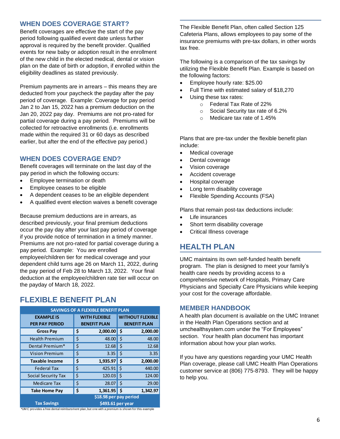### **WHEN DOES COVERAGE START?**

Benefit coverages are effective the start of the pay period following qualified event date unless further approval is required by the benefit provider. Qualified events for new baby or adoption result in the enrollment of the new child in the elected medical, dental or vision plan on the date of birth or adoption, if enrolled within the eligibility deadlines as stated previously.

Premium payments are in arrears – this means they are deducted from your paycheck the payday after the pay period of coverage. Example: Coverage for pay period Jan 2 to Jan 15, 2022 has a premium deduction on the Jan 20, 2022 pay day. Premiums are not pro-rated for partial coverage during a pay period. Premiums will be collected for retroactive enrollments (i.e. enrollments made within the required 31 or 60 days as described earlier, but after the end of the effective pay period.)

### **WHEN DOES COVERAGE END?**

Benefit coverages will terminate on the last day of the pay period in which the following occurs:

- Employee termination or death
- Employee ceases to be eligible
- A dependent ceases to be an eligible dependent
- A qualified event election waives a benefit coverage

Because premium deductions are in arrears, as described previously, your final premium deductions occur the pay day after your last pay period of coverage if you provide notice of termination in a timely manner. Premiums are not pro-rated for partial coverage during a pay period. Example: You are enrolled employee/children tier for medical coverage and your dependent child turns age 26 on March 11, 2022, during the pay period of Feb 28 to March 13, 2022. Your final deduction at the employee/children rate tier will occur on the payday of March 18, 2022.

# **FLEXIBLE BENEFIT PLAN**

| <b>SAVINGS OF A FLEXIBLE BENEFIT PLAN</b>                                                       |    |                      |                    |                         |
|-------------------------------------------------------------------------------------------------|----|----------------------|--------------------|-------------------------|
| <b>EXAMPLE IS</b>                                                                               |    | <b>WITH FLEXIBLE</b> |                    | <b>WITHOUT FLEXIBLE</b> |
| <b>PER PAY PERIOD</b>                                                                           |    | <b>BENEFIT PLAN</b>  |                    | <b>BENEFIT PLAN</b>     |
| <b>Gross Pay</b>                                                                                | \$ | 2,000.00             | \$.                | 2,000.00                |
| <b>Health Premium</b>                                                                           | \$ | 48.00                | Ś                  | 48.00                   |
| Dental Premium*                                                                                 | \$ | 12.68                | \$                 | 12.68                   |
| <b>Vision Premium</b>                                                                           | \$ | 3.35                 | \$                 | 3.35                    |
| <b>Taxable Income</b>                                                                           | \$ | 1,935.97             | \$                 | 2,000.00                |
| <b>Federal Tax</b>                                                                              | \$ | 425.91               | $\dot{\mathsf{S}}$ | 440.00                  |
| <b>Social Security Tax</b>                                                                      | \$ | 120.03               | \$                 | 124.00                  |
| <b>Medicare Tax</b>                                                                             | \$ | 28.07                | Ś                  | 29.00                   |
| <b>Take Home Pay</b>                                                                            | \$ | 1,361.95             | Š.                 | 1,342.97                |
| \$18.98 per pay period                                                                          |    |                      |                    |                         |
| <b>Tax Savings</b><br>\$493.61 per year                                                         |    |                      |                    |                         |
| *UMC provides a free dental reimbursment plan, but one with a premium is shown for this example |    |                      |                    |                         |

The Flexible Benefit Plan, often called Section 125 Cafeteria Plans, allows employees to pay some of the insurance premiums with pre-tax dollars, in other words tax free.

The following is a comparison of the tax savings by utilizing the Flexible Benefit Plan. Example is based on the following factors:

- Employee hourly rate: \$25.00
- Full Time with estimated salary of \$18,270
- Using these tax rates:
	- o Federal Tax Rate of 22%
	- o Social Security tax rate of 6.2%
	- o Medicare tax rate of 1.45%

Plans that are pre-tax under the flexible benefit plan include:

- Medical coverage
- Dental coverage
- Vision coverage
- Accident coverage
- Hospital coverage
- Long term disability coverage
- Flexible Spending Accounts (FSA)

Plans that remain post-tax deductions include:

- Life insurances
- Short term disability coverage
- Critical Illness coverage

### **HEALTH PLAN**

UMC maintains its own self-funded health benefit program. The plan is designed to meet your family's health care needs by providing access to a comprehensive network of Hospitals, Primary Care Physicians and Specialty Care Physicians while keeping your cost for the coverage affordable.

### **MEMBER HANDBOOK**

A health plan document is available on the UMC Intranet in the Health Plan Operations section and at umchealthsystem.com under the "For Employees" section. Your health plan document has important information about how your plan works.

If you have any questions regarding your UMC Health Plan coverage, please call UMC Health Plan Operations customer service at (806) 775-8793. They will be happy to help you.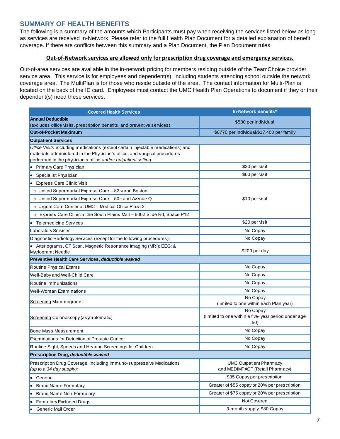### **SUMMARY OF HEALTH BENEFITS**

The following is a summary of the amounts which Participants must pay when receiving the services listed below as long as services are received In-Network. Please refer to the full Health Plan Document for a detailed explanation of benefit coverage. If there are conflicts between this summary and a Plan Document, the Plan Document rules.

### **Out-of-Network services are allowed only for prescription drug coverage and emergency services.**

Out-of-area services are available in the in-network pricing for members residing outside of the TeamChoice provider service area. This service is for employees and dependent(s), including students attending school outside the network coverage area. The MultiPlan is for those who reside outside of the area. The contact information for Multi-Plan is located on the back of the ID card. Employees must contact the UMC Health Plan Operations to document if they or their dependent(s) need these services.

| <b>Covered Health Services</b>                                                                                                                               | In-Network Benefits*                                |
|--------------------------------------------------------------------------------------------------------------------------------------------------------------|-----------------------------------------------------|
| <b>Annual Deductible</b>                                                                                                                                     | \$500 per individual                                |
| (excludes office visits, prescription benefits, and preventive services)                                                                                     |                                                     |
| <b>Out-of-Pocket Maximum</b>                                                                                                                                 | \$8770 per individual/\$17,400 per family           |
| <b>Outpatient Services</b>                                                                                                                                   |                                                     |
| Office Visits including medications (except certain injectable medications) and<br>materials administered in the Physician's office, and surgical procedures |                                                     |
| performed in the physician's office and/or outpatient setting.                                                                                               |                                                     |
| Primary Care Physician                                                                                                                                       | \$30 per visit                                      |
| Specialist Physician                                                                                                                                         | \$60 per visit                                      |
| <b>Express Care Clinic Visit</b>                                                                                                                             |                                                     |
| ○ United Supermarket Express Care – 82 <sup>nd</sup> and Boston                                                                                              |                                                     |
| o United Supermarket Express Care - 50th and Avenue Q                                                                                                        | \$10 per visit                                      |
| o Urgent Care Center at UMC - Medical Office Plaza 2                                                                                                         |                                                     |
| o Express Care Clinic at the South Plains Mall - 6002 Slide Rd, Space P12                                                                                    |                                                     |
| • Telemedicine Services                                                                                                                                      | \$20 per visit                                      |
| Laboratory Services                                                                                                                                          | No Copay                                            |
| Diagnostic Radiology Services (except for the following procedures):                                                                                         | No Copay                                            |
| • Arteriograms, CT Scan, Magnetic Resonance Imaging (MRI); EEG; &                                                                                            |                                                     |
| Myelogram; Needle                                                                                                                                            | \$200 per day                                       |
| Preventive Health Care Services, deductible waived                                                                                                           |                                                     |
| Routine Physical Exams                                                                                                                                       | No Copay                                            |
| Well-Baby and Well-Child Care                                                                                                                                | No Copay                                            |
| Routine Immunizations                                                                                                                                        | No Copay                                            |
| <b>Well-Woman Examinations</b>                                                                                                                               | No Copay                                            |
| Screening Mammograms                                                                                                                                         | No Copay<br>(limited to one within each Plan year)  |
|                                                                                                                                                              | No Copay                                            |
| Screening Colonoscopy (asymptomatic)                                                                                                                         | (limited to one within a five-year period under age |
|                                                                                                                                                              | 50)                                                 |
| Bone Mass Measurement                                                                                                                                        | No Copay                                            |
| <b>Examinations for Detection of Prostate Cancer</b>                                                                                                         | No Copay                                            |
| Routine Sight, Speech and Hearing Screenings for Children                                                                                                    | No Copay                                            |
| Prescription Drug, deductible waived                                                                                                                         |                                                     |
| Prescription Drug Coverage, including Immuno-suppressive Medications                                                                                         | <b>UMC Outpatient Pharmacy</b>                      |
| (up to a 34 day supply):                                                                                                                                     | and MEDIMPACT (Retail Pharmacy)                     |
| • Generic                                                                                                                                                    | \$35 Copay per prescription                         |
| <b>Brand Name Formulary</b>                                                                                                                                  | Greater of \$55 copay or 20% per prescription       |
| <b>Brand Name Non-Formulary</b>                                                                                                                              | Greater of \$75 copay or 20% per prescription       |
| Formulary Excluded Drugs                                                                                                                                     | Not Covered                                         |
| Generic Mail Order                                                                                                                                           | 3-month supply, \$80 Copay                          |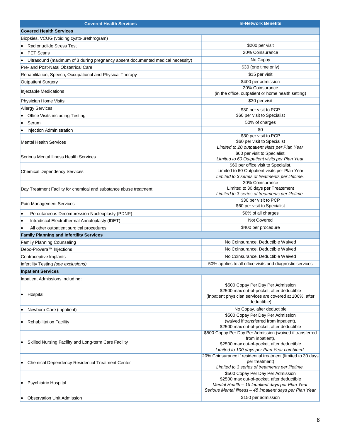| <b>Covered Health Services</b>                                                      | <b>In-Network Benefits</b>                                                                                                                                                                     |
|-------------------------------------------------------------------------------------|------------------------------------------------------------------------------------------------------------------------------------------------------------------------------------------------|
| <b>Covered Health Services</b>                                                      |                                                                                                                                                                                                |
| Biopsies, VCUG (voiding cysto-urethrogram)                                          |                                                                                                                                                                                                |
| <b>Radionuclide Stress Test</b>                                                     | \$200 per visit                                                                                                                                                                                |
| <b>PET Scans</b><br>$\bullet$                                                       | 20% Coinsurance                                                                                                                                                                                |
| Ultrasound (maximum of 3 during pregnancy absent documented medical necessity)<br>٠ | No Copay                                                                                                                                                                                       |
| Pre- and Post-Natal Obstetrical Care                                                | \$30 (one time only)                                                                                                                                                                           |
| Rehabilitation, Speech, Occupational and Physical Therapy                           | \$15 per visit                                                                                                                                                                                 |
| <b>Outpatient Surgery</b>                                                           | \$400 per admission                                                                                                                                                                            |
|                                                                                     | 20% Coinsurance                                                                                                                                                                                |
| Injectable Medications                                                              | (in the office, outpatient or home health setting)                                                                                                                                             |
| Physician Home Visits                                                               | \$30 per visit                                                                                                                                                                                 |
| <b>Allergy Services</b>                                                             | \$30 per visit to PCP                                                                                                                                                                          |
| Office Visits including Testing                                                     | \$60 per visit to Specialist                                                                                                                                                                   |
| Serum<br>$\bullet$                                                                  | 50% of charges                                                                                                                                                                                 |
| Injection Administration<br>٠                                                       | \$0                                                                                                                                                                                            |
| <b>Mental Health Services</b>                                                       | \$30 per visit to PCP<br>\$60 per visit to Specialist<br>Limited to 20 outpatient visits per Plan Year                                                                                         |
| Serious Mental Illness Health Services                                              | \$60 per visit to Specialist.<br>Limited to 60 Outpatient visits per Plan Year                                                                                                                 |
| <b>Chemical Dependency Services</b>                                                 | \$60 per office visit to Specialist.<br>Limited to 60 Outpatient visits per Plan Year<br>Limited to 3 series of treatments per lifetime.                                                       |
| Day Treatment Facility for chemical and substance abuse treatment                   | 20% Coinsurance<br>Limited to 30 days per Treatement<br>Limited to 3 series of treatments per lifetime.                                                                                        |
| Pain Management Services                                                            | \$30 per visit to PCP<br>\$60 per visit to Specialist                                                                                                                                          |
| Percutaneous Decompression Nucleoplasty (PDNP)<br>$\bullet$                         | 50% of all charges                                                                                                                                                                             |
| Intradiscal Electrothermal Annuloplasty (IDET)<br>۰                                 | Not Covered                                                                                                                                                                                    |
| All other outpatient surgical procedures                                            | \$400 per procedure                                                                                                                                                                            |
| <b>Family Planning and Infertility Services</b>                                     |                                                                                                                                                                                                |
| Family Planning Counseling                                                          | No Coinsurance, Deductible Waived                                                                                                                                                              |
| Depo-Provera <sup>™</sup> Injections                                                | No Coinsurance, Deductible Waived                                                                                                                                                              |
| Contraceptive Implants                                                              | No Coinsurance, Deductible Waived                                                                                                                                                              |
| Infertility Testing (see exclusions)                                                | 50% applies to all office visits and diagnostic services                                                                                                                                       |
| <b>Inpatient Services</b>                                                           |                                                                                                                                                                                                |
| Inpatient Admissions including:<br>Hospital<br>٠                                    | \$500 Copay Per Day Per Admission<br>\$2500 max out-of-pocket, after deductible<br>(inpatient physician services are covered at 100%, after<br>deductible)                                     |
| Newborn Care (inpatient)<br>٠                                                       | No Copay, after deductible                                                                                                                                                                     |
| <b>Rehabilitation Facility</b><br>٠                                                 | \$500 Copay Per Day Per Admission<br>(waived if transferred from inpatient),<br>\$2500 max out-of-pocket, after deductible                                                                     |
| Skilled Nursing Facility and Long-term Care Facility                                | \$500 Copay Per Day Per Admission (waived if transferred<br>from inpatient),<br>\$2500 max out-of-pocket, after deductible<br>Limited to 100 days per Plan Year combined.                      |
| <b>Chemical Dependency Residential Treatment Center</b>                             | 20% Coinsurance if residential treatment (limited to 30 days<br>per treatment)<br>Limited to 3 series of treatments per lifetime.                                                              |
| Psychiatric Hospital<br>٠                                                           | \$500 Copay Per Day Per Admission<br>\$2500 max out-of-pocket, after deductible<br>Mental Health - 15 Inpatient days per Plan Year<br>Serious Mental Illness - 45 Inpatient days per Plan Year |
| <b>Observation Unit Admission</b>                                                   | \$150 per admission                                                                                                                                                                            |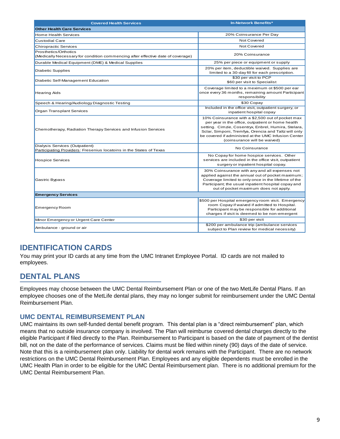| <b>Covered Health Services</b>                                                                           | <b>In-Network Benefits*</b>                                                                                                                                                                                                                                                                                  |
|----------------------------------------------------------------------------------------------------------|--------------------------------------------------------------------------------------------------------------------------------------------------------------------------------------------------------------------------------------------------------------------------------------------------------------|
| <b>Other Health Care Services</b>                                                                        |                                                                                                                                                                                                                                                                                                              |
| Home Health Services                                                                                     | 20% Coinsurance Per Day                                                                                                                                                                                                                                                                                      |
| Custodial Care                                                                                           | Not Covered                                                                                                                                                                                                                                                                                                  |
| <b>Chiropractic Services</b>                                                                             | Not Covered                                                                                                                                                                                                                                                                                                  |
| Prosthetics/Orthotics<br>(Medically Necessary for condition commencing after effective date of coverage) | 20% Coinsurance                                                                                                                                                                                                                                                                                              |
| Durable Medical Equipment (DME) & Medical Supplies                                                       | 25% per piece or equipment or supply                                                                                                                                                                                                                                                                         |
| Diabetic Supplies                                                                                        | 20% per item, deductible waived. Supplies are<br>limited to a 30-day fill for each prescription.                                                                                                                                                                                                             |
| Diabetic Self-Management Education                                                                       | \$30 per visit to PCP<br>\$60 per visit to Specialist                                                                                                                                                                                                                                                        |
| <b>Hearing Aids</b>                                                                                      | Coverage limited to a meximum ot \$500 per ear<br>once every 36 months, remaining amount Participant<br>responsibility                                                                                                                                                                                       |
| Speech & Hearing/Audiology Diagnostic Testing                                                            | \$30 Copay                                                                                                                                                                                                                                                                                                   |
| Organ Transplant Services                                                                                | Included in the office visit, outpatient surgery, or<br>inpatient hospital copay                                                                                                                                                                                                                             |
| Chemotherapy, Radiation Therapy Services and Infusion Services                                           | 10% Coinsurance with a \$2,500 out of pocket max<br>per year in the office, outpatient or home health<br>setting. Cimzie, Cosentryx, Enbrel, Humira, Stelara,<br>Sclar, Simponi, Tremfya, Orencia and Taltz will only<br>be covered if administed at the UMC Infusion Center<br>(coinsurance will be waived) |
| Dialysis Services (Outpatient)<br>Participating Providers: Fresenius locatoins in the States of Texas    | No Coinsurance                                                                                                                                                                                                                                                                                               |
| <b>Hospice Services</b>                                                                                  | No Copay for home hospice services. Other<br>services are included in the office visit, outpatient<br>surgery or inpatient hospital copay.                                                                                                                                                                   |
| Gastric Bypass                                                                                           | 30% Coinsurance with any and all expenses not<br>applied against the annual out of pocket maximum;<br>Coverage limited to only once in the lifetime of the<br>Participant; the usual inpatient hospital copay and<br>out of pocket maximum does not apply.                                                   |
| <b>Emergency Services</b>                                                                                |                                                                                                                                                                                                                                                                                                              |
| <b>Emergency Room</b>                                                                                    | \$500 per Hospital emergency room visit. Emergency<br>room Copay if waived if admitted to Hospital.<br>Participant may be responsible for additional<br>charges if visit is deemed to be non-emergent                                                                                                        |
| Minor Emergency or Urgent Care Center                                                                    | \$30 per visit                                                                                                                                                                                                                                                                                               |
| Ambulance - ground or air                                                                                | \$200 per ambulance trip (ambulance services<br>subject to Plan review for medical necessity)                                                                                                                                                                                                                |

# **IDENTIFICATION CARDS**

You may print your ID cards at any time from the UMC Intranet Employee Portal. ID cards are not mailed to employees.

# **DENTAL PLANS**

Employees may choose between the UMC Dental Reimbursement Plan or one of the two MetLife Dental Plans. If an employee chooses one of the MetLife dental plans, they may no longer submit for reimbursement under the UMC Dental Reimbursement Plan.

### **UMC DENTAL REIMBURSEMENT PLAN**

UMC maintains its own self-funded dental benefit program. This dental plan is a "direct reimbursement" plan, which means that no outside insurance company is involved. The Plan will reimburse covered dental charges directly to the eligible Participant if filed directly to the Plan. Reimbursement to Participant is based on the date of payment of the dentist bill, not on the date of the performance of services. Claims must be filed within ninety (90) days of the date of service. Note that this is a reimbursement plan only. Liability for dental work remains with the Participant. There are no network restrictions on the UMC Dental Reimbursement Plan. Employees and any eligible dependents must be enrolled in the UMC Health Plan in order to be eligible for the UMC Dental Reimbursement plan. There is no additional premium for the UMC Dental Reimbursement Plan.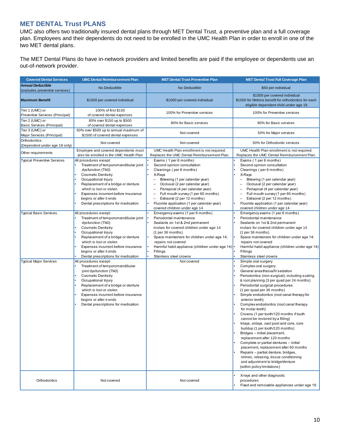### **MET DENTAL Trust PLANS**

UMC also offers two traditionally insured dental plans through MET Dental Trust, a preventive plan and a full coverage plan. Employees and their dependents do not need to be enrolled in the UMC Health Plan in order to enroll in one of the two MET dental plans.

The MET Dental Plans do have in-network providers and limited benefits are paid if the employee or dependents use an out-of-network provider.

| <b>Covered Dental Services</b>                             | <b>UMC Dental Reimbursement Plan</b>                                                                                                                                                                                                                                                                              | <b>MET Dental Trust Preventive Plan</b>                                                                                                                                                                                                                                                                                                                                                                                                                                                       | <b>MET Dental Trust Full Coverage Plan</b>                                                                                                                                                                                                                                                                                                                                                                                                                                                                                                                                                                                                                                                                                                                                                                                                            |
|------------------------------------------------------------|-------------------------------------------------------------------------------------------------------------------------------------------------------------------------------------------------------------------------------------------------------------------------------------------------------------------|-----------------------------------------------------------------------------------------------------------------------------------------------------------------------------------------------------------------------------------------------------------------------------------------------------------------------------------------------------------------------------------------------------------------------------------------------------------------------------------------------|-------------------------------------------------------------------------------------------------------------------------------------------------------------------------------------------------------------------------------------------------------------------------------------------------------------------------------------------------------------------------------------------------------------------------------------------------------------------------------------------------------------------------------------------------------------------------------------------------------------------------------------------------------------------------------------------------------------------------------------------------------------------------------------------------------------------------------------------------------|
| <b>Annual Deductible</b><br>(excludes preventive services) | No Deductible                                                                                                                                                                                                                                                                                                     | No Deductible                                                                                                                                                                                                                                                                                                                                                                                                                                                                                 | \$50 per individual                                                                                                                                                                                                                                                                                                                                                                                                                                                                                                                                                                                                                                                                                                                                                                                                                                   |
| <b>Maximum Benefit</b><br>\$1500 per covered individual    |                                                                                                                                                                                                                                                                                                                   | \$1000 per covered individual                                                                                                                                                                                                                                                                                                                                                                                                                                                                 | \$1500 per covered individual<br>\$1000 for lifetime benefit for orthodontics for each<br>eligible dependent child under age 19                                                                                                                                                                                                                                                                                                                                                                                                                                                                                                                                                                                                                                                                                                                       |
| Tier 1 (UMC) or<br>Preventive Services (Principal)         | 100% of first \$150<br>of covered dental expenses                                                                                                                                                                                                                                                                 | 100% for Preventive services                                                                                                                                                                                                                                                                                                                                                                                                                                                                  | 100% for Preventive services                                                                                                                                                                                                                                                                                                                                                                                                                                                                                                                                                                                                                                                                                                                                                                                                                          |
| Tier 2 (UMC) or<br>Basic Services (Principal)              | 80% over \$150 up to \$500<br>of covered dental expenses                                                                                                                                                                                                                                                          | 80% for Basic services                                                                                                                                                                                                                                                                                                                                                                                                                                                                        | 80% for Basic services                                                                                                                                                                                                                                                                                                                                                                                                                                                                                                                                                                                                                                                                                                                                                                                                                                |
| Tier 3 (UMC) or<br>Major Services (Principal)              | 50% over \$500 up to annual maximum of<br>\$1500 of covered dental expenses                                                                                                                                                                                                                                       | Not covered                                                                                                                                                                                                                                                                                                                                                                                                                                                                                   | 50% for Major services                                                                                                                                                                                                                                                                                                                                                                                                                                                                                                                                                                                                                                                                                                                                                                                                                                |
| Orthodontics<br>(Dependent under age 19 only)              | Not covered                                                                                                                                                                                                                                                                                                       | Not covered                                                                                                                                                                                                                                                                                                                                                                                                                                                                                   | 50% for Orthodontic services                                                                                                                                                                                                                                                                                                                                                                                                                                                                                                                                                                                                                                                                                                                                                                                                                          |
| Other requirements                                         | Employee and covered dependents must<br>also be enrolled in the UMC Health Plan                                                                                                                                                                                                                                   | UMC Health Plan enrollment is not required.<br>Replaces the UMC Dental Reimbursement Plan.                                                                                                                                                                                                                                                                                                                                                                                                    | UMC Health Plan enrollment is not required.<br>Replaces the UMC Dental Reimbursement Plan.                                                                                                                                                                                                                                                                                                                                                                                                                                                                                                                                                                                                                                                                                                                                                            |
| <b>Typical Preventive Services</b>                         | All procedures except:<br>Treatment of temporomandibular joint<br>dysfunction (TMJ)<br><b>Cosmetic Dentistry</b><br>Occupational Injury<br>Replacement of a bridge or denture<br>which is lost or stolen<br>Expenses incurrent before insurance<br>begins or after it ends<br>Dental prescriptions for medication | Exams (1 per 6 months)<br>Second opinion consultation<br>Cleanings (per 6 months)<br>X-Rays<br>$\qquad \qquad -$<br>Bitewing (1 per calendar year)<br>Occlusal (2 per calendar year)<br>$\overline{\phantom{m}}$<br>Periapical (4 per calendar year)<br>$\overline{\phantom{0}}$<br>Full mouth survey (1 per 60 months)<br>$\overline{\phantom{a}}$<br>Extraoral (2 per 12 months)<br>$\overline{\phantom{a}}$<br>Fluoride application (1 per calendar year)<br>covered children under age 14 | Exams (1 per 6 months)<br>Second opinion consultation<br>Cleanings (per 6 months)<br>X-Rays<br>$\overline{\phantom{0}}$<br>Bitewing (1 per calendar year)<br>Occlusal (2 per calendar year)<br>$\overline{\phantom{a}}$<br>Periapical (4 per calendar year)<br>$\overline{\phantom{0}}$<br>Full mouth survey (1 per 60 months)<br>$\overline{\phantom{0}}$<br>Extraoral (2 per 12 months)<br>$\qquad \qquad -$<br>Fluoride application (1 per calendar year)<br>covered children under age 14                                                                                                                                                                                                                                                                                                                                                         |
| <b>Typical Basic Services</b>                              | All procedures except:<br>Treatment of temporomandibular joint<br>dysfunction (TMJ)<br><b>Cosmetic Dentistry</b><br>Occupational Injury<br>Replacement of a bridge or denture<br>which is lost or stolen<br>Expenses incurrent before insurance<br>begins or after it ends<br>Dental prescriptions for medication | Emergency exams (1 per 6 months)<br>Periodontal maintenance<br>Sealants on 1st & 2nd permanent<br>molars for covered children under age 14<br>(1 per 36 months)<br>Space maintainers for children under age 14;<br>repairs not covered<br>Harmful habit appliance (children under age 14) <sup>.</sup><br>Fillings<br>Stainless steel crowns                                                                                                                                                  | Emergency exams (1 per 6 months)<br>Periodontal maintenance<br>Sealants on 1st & 2nd permanent<br>molars for covered children under age 14<br>(1 per 36 months)<br>Space maintainers for children under age 14;<br>repairs not covered<br>Harmful habit appliance (children under age 14)<br>Fillings<br>Stainless steel crowns                                                                                                                                                                                                                                                                                                                                                                                                                                                                                                                       |
| <b>Typical Major Services</b>                              | All procedures except:<br>Treatment of temporomandibular<br>joint dysfunction (TMJ)<br><b>Cosmetic Dentistry</b><br>Occupational Injury<br>Replacement of a bridge or denture<br>which is lost or stolen<br>Expenses incurrent before insurance<br>begins or after it ends<br>Dental prescriptions for medication | Not covered                                                                                                                                                                                                                                                                                                                                                                                                                                                                                   | Simple oral surgery<br>Complex oral surgery<br>General anesthesia/IV sedation<br>Periodontics (non-surgical), including scaling<br>& root planning (3 per quad per 24 months)<br>Periodontal surgical procedures<br>(1 per quad per 36 months)<br>Simple endodontics (root canal therapy for<br>anterior teeth)<br>Complex endodontics (root canal therapy<br>for molar teeth)<br>Crowns (1 per tooth/120 months if tooth<br>cannot be restored by a filling)<br>Inlays, onlays, cast post and core, core<br>buildup (1 per tooth/120 months)<br>Bridges - initial placement,<br>replacement after 120 months<br>Complete or partial dentures - initial<br>placement, replacement after 60 months<br>Repairs - partial denture, bridges,<br>relines, rebasing, tissue conditioning<br>and adjustment to bridge/denture<br>(within policy limitations) |
| Orthodontics                                               | Not covered                                                                                                                                                                                                                                                                                                       | Not covered                                                                                                                                                                                                                                                                                                                                                                                                                                                                                   | X-rays and other diagnostic<br>procedures<br>Fixed and removable appliances under age 19                                                                                                                                                                                                                                                                                                                                                                                                                                                                                                                                                                                                                                                                                                                                                              |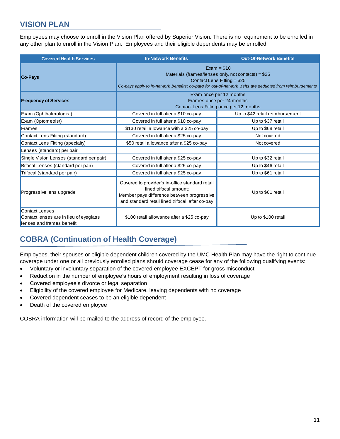# **VISION PLAN**

Employees may choose to enroll in the Vision Plan offered by Superior Vision. There is no requirement to be enrolled in any other plan to enroll in the Vision Plan. Employees and their eligible dependents may be enrolled.

| <b>Covered Health Services</b>                                                        | <b>In-Network Benefits</b>                                                                                                                                                                                      | <b>Out-Of-Network Benefits</b>  |
|---------------------------------------------------------------------------------------|-----------------------------------------------------------------------------------------------------------------------------------------------------------------------------------------------------------------|---------------------------------|
| <b>Co-Pays</b>                                                                        | $Exam = $10$<br>Materials (frames/lenses only, not contacts) = $$25$<br>Contact Lens Fitting = \$25<br>Co-pays apply to in-network benefits; co-pays for out-of-network visits are deducted from reimbursements |                                 |
| <b>Frequency of Services</b>                                                          | Exam once per 12 months<br>Frames once per 24 months<br>Contact Lens Fitting once per 12 months                                                                                                                 |                                 |
| Exam (Ophthalmologist)                                                                | Covered in full after a \$10 co-pay                                                                                                                                                                             | Up to \$42 retail reimbursement |
| Exam (Optometrist)                                                                    | Covered in full after a \$10 co-pay                                                                                                                                                                             | Up to \$37 retail               |
| Frames                                                                                | \$130 retail allowance with a \$25 co-pay                                                                                                                                                                       | Up to \$68 retail               |
| Contact Lens Fitting (standard)                                                       | Covered in full after a \$25 co-pay                                                                                                                                                                             | Not covered                     |
| Contact Lens Fitting (specialty)                                                      | \$50 retail allowance after a \$25 co-pay                                                                                                                                                                       | Not covered                     |
| Lenses (standard) per pair                                                            |                                                                                                                                                                                                                 |                                 |
| Single Vision Lenses (standard per pair)                                              | Covered in full after a \$25 co-pay                                                                                                                                                                             | Up to \$32 retail               |
| Bifocal Lenses (standard per pair)                                                    | Covered in full after a \$25 co-pay                                                                                                                                                                             | Up to \$46 retail               |
| Trifocal (standard per pair)                                                          | Covered in full after a \$25 co-pay                                                                                                                                                                             | Up to \$61 retail               |
| Progressive lens upgrade                                                              | Covered to provider's in-office standard retail<br>lined trifocal amount:<br>Member pays difference between progressive<br>and standard retail lined trifocal, after co-pay                                     | Up to \$61 retail               |
| Contact Lenses<br>Contact lenses are in lieu of eyeglass<br>lenses and frames benefit | \$100 retail allowance after a \$25 co-pay                                                                                                                                                                      | Up to \$100 retail              |

# **COBRA (Continuation of Health Coverage)**

Employees, their spouses or eligible dependent children covered by the UMC Health Plan may have the right to continue coverage under one or all previously enrolled plans should coverage cease for any of the following qualifying events:

- Voluntary or involuntary separation of the covered employee EXCEPT for gross misconduct
- Reduction in the number of employee's hours of employment resulting in loss of coverage
- Covered employee's divorce or legal separation
- Eligibility of the covered employee for Medicare, leaving dependents with no coverage
- Covered dependent ceases to be an eligible dependent
- Death of the covered employee

COBRA information will be mailed to the address of record of the employee.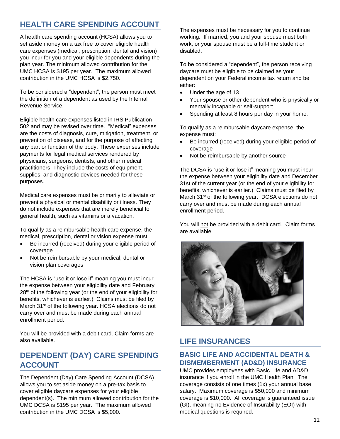# **HEALTH CARE SPENDING ACCOUNT**

A health care spending account (HCSA) allows you to set aside money on a tax free to cover eligible health care expenses (medical, prescription, dental and vision) you incur for you and your eligible dependents during the plan year. The minimum allowed contribution for the UMC HCSA is \$195 per year. The maximum allowed contribution in the UMC HCSA is \$2,750.

To be considered a "dependent", the person must meet the definition of a dependent as used by the Internal Revenue Service.

Eligible health care expenses listed in IRS Publication 502 and may be revised over time. "Medical" expenses are the costs of diagnosis, cure, mitigation, treatment, or prevention of disease, and for the purpose of affecting any part or function of the body. These expenses include payments for legal medical services rendered by physicians, surgeons, dentists, and other medical practitioners. They include the costs of equipment, supplies, and diagnostic devices needed for these purposes.

Medical care expenses must be primarily to alleviate or prevent a physical or mental disability or illness. They do not include expenses that are merely beneficial to general health, such as vitamins or a vacation.

To qualify as a reimbursable health care expense, the medical, prescription, dental or vision expense must:

- Be incurred (received) during your eligible period of coverage
- Not be reimbursable by your medical, dental or vision plan coverages

The HCSA is "use it or lose it" meaning you must incur the expense between your eligibility date and February 28<sup>th</sup> of the following year (or the end of your eligibility for benefits, whichever is earlier.) Claims must be filed by March 31<sup>st</sup> of the following year. HCSA elections do not carry over and must be made during each annual enrollment period.

You will be provided with a debit card. Claim forms are also available.

# **DEPENDENT (DAY) CARE SPENDING ACCOUNT**

The Dependent (Day) Care Spending Account (DCSA) allows you to set aside money on a pre-tax basis to cover eligible daycare expenses for your eligible dependent(s). The minimum allowed contribution for the UMC DCSA is \$195 per year. The maximum allowed contribution in the UMC DCSA is \$5,000.

The expenses must be necessary for you to continue working. If married, you and your spouse must both work, or your spouse must be a full-time student or disabled.

To be considered a "dependent", the person receiving daycare must be eligible to be claimed as your dependent on your Federal income tax return and be either:

- Under the age of 13
- Your spouse or other dependent who is physically or mentally incapable or self-support
- Spending at least 8 hours per day in your home.

To qualify as a reimbursable daycare expense, the expense must:

- Be incurred (received) during your eligible period of coverage
- Not be reimbursable by another source

The DCSA is "use it or lose it" meaning you must incur the expense between your eligibility date and December 31st of the current year (or the end of your eligibility for benefits, whichever is earlier.) Claims must be filed by March 31<sup>st</sup> of the following year. DCSA elections do not carry over and must be made during each annual enrollment period.

You will not be provided with a debit card. Claim forms are available.



# **LIFE INSURANCES**

### **BASIC LIFE AND ACCIDENTAL DEATH & DISMEMBERMENT (AD&D) INSURANCE**

UMC provides employees with Basic Life and AD&D insurance if you enroll in the UMC Health Plan. The coverage consists of one times (1x) your annual base salary. Maximum coverage is \$50,000 and minimum coverage is \$10,000. All coverage is guaranteed issue (GI), meaning no Evidence of Insurability (EOI) with medical questions is required.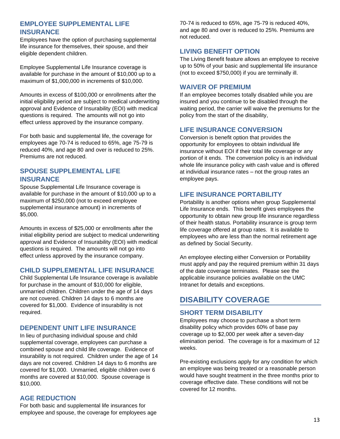### **EMPLOYEE SUPPLEMENTAL LIFE INSURANCE**

Employees have the option of purchasing supplemental life insurance for themselves, their spouse, and their eligible dependent children.

Employee Supplemental Life Insurance coverage is available for purchase in the amount of \$10,000 up to a maximum of \$1,000,000 in increments of \$10,000.

Amounts in excess of \$100,000 or enrollments after the initial eligibility period are subject to medical underwriting approval and Evidence of Insurability (EOI) with medical questions is required. The amounts will not go into effect unless approved by the insurance company.

For both basic and supplemental life, the coverage for employees age 70-74 is reduced to 65%, age 75-79 is reduced 40%, and age 80 and over is reduced to 25%. Premiums are not reduced.

### **SPOUSE SUPPLEMENTAL LIFE INSURANCE**

Spouse Supplemental Life Insurance coverage is available for purchase in the amount of \$10,000 up to a maximum of \$250,000 (not to exceed employee supplemental insurance amount) in increments of \$5,000.

Amounts in excess of \$25,000 or enrollments after the initial eligibility period are subject to medical underwriting approval and Evidence of Insurability (EOI) with medical questions is required. The amounts will not go into effect unless approved by the insurance company.

### **CHILD SUPPLEMENTAL LIFE INSURANCE**

Child Supplemental Life Insurance coverage is available for purchase in the amount of \$10,000 for eligible, unmarried children. Children under the age of 14 days are not covered. Children 14 days to 6 months are covered for \$1,000. Evidence of insurability is not required.

### **DEPENDENT UNIT LIFE INSURANCE**

In lieu of purchasing individual spouse and child supplemental coverage, employees can purchase a combined spouse and child life coverage. Evidence of insurability is not required. Children under the age of 14 days are not covered. Children 14 days to 6 months are covered for \$1,000. Unmarried, eligible children over 6 months are covered at \$10,000. Spouse coverage is \$10,000.

### **AGE REDUCTION**

For both basic and supplemental life insurances for employee and spouse, the coverage for employees age 70-74 is reduced to 65%, age 75-79 is reduced 40%, and age 80 and over is reduced to 25%. Premiums are not reduced.

### **LIVING BENEFIT OPTION**

The Living Benefit feature allows an employee to receive up to 50% of your basic and supplemental life insurance (not to exceed \$750,000) if you are terminally ill.

### **WAIVER OF PREMIUM**

If an employee becomes totally disabled while you are insured and you continue to be disabled through the waiting period, the carrier will waive the premiums for the policy from the start of the disability,

### **LIFE INSURANCE CONVERSION**

Conversion is benefit option that provides the opportunity for employees to obtain individual life insurance without EOI if their total life coverage or any portion of it ends. The conversion policy is an individual whole life insurance policy with cash value and is offered at individual insurance rates – not the group rates an employee pays.

### **LIFE INSURANCE PORTABILITY**

Portability is another options when group Supplemental Life Insurance ends. This benefit gives employees the opportunity to obtain new group life insurance regardless of their health status. Portability insurance is group term life coverage offered at group rates. It is available to employees who are less than the normal retirement age as defined by Social Security.

An employee electing either Conversion or Portability must apply and pay the required premium within 31 days of the date coverage terminates. Please see the applicable insurance policies available on the UMC Intranet for details and exceptions.

# **DISABILITY COVERAGE**

### **SHORT TERM DISABILITY**

Employees may choose to purchase a short term disability policy which provides 60% of base pay coverage up to \$2,000 per week after a seven-day elimination period. The coverage is for a maximum of 12 weeks.

Pre-existing exclusions apply for any condition for which an employee was being treated or a reasonable person would have sought treatment in the three months prior to coverage effective date. These conditions will not be covered for 12 months.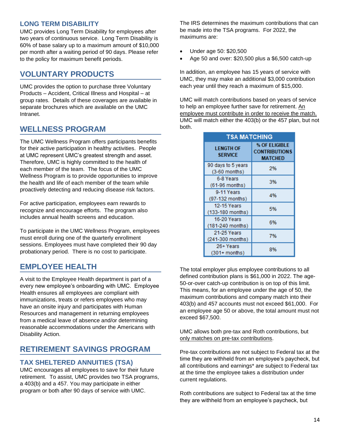### **LONG TERM DISABILITY**

UMC provides Long Term Disability for employees after two years of continuous service. Long Term Disability is 60% of base salary up to a maximum amount of \$10,000 per month after a waiting period of 90 days. Please refer to the policy for maximum benefit periods.

# **VOLUNTARY PRODUCTS**

UMC provides the option to purchase three Voluntary Products – Accident, Critical Illness and Hospital – at group rates. Details of these coverages are available in separate brochures which are available on the UMC Intranet.

# **WELLNESS PROGRAM**

The UMC Wellness Program offers participants benefits for their active participation in healthy activities. People at UMC represent UMC's greatest strength and asset. Therefore, UMC is highly committed to the health of each member of the team. The focus of the UMC Wellness Program is to provide opportunities to improve the health and life of each member of the team while proactively detecting and reducing disease risk factors.

For active participation, employees earn rewards to recognize and encourage efforts. The program also includes annual health screens and education.

To participate in the UMC Wellness Program, employees must enroll during one of the quarterly enrollment sessions. Employees must have completed their 90 day probationary period. There is no cost to participate.

# **EMPLOYEE HEALTH**

A visit to the Employee Health department is part of a every new employee's onboarding with UMC. Employee Health ensures all employees are compliant with immunizations, treats or refers employees who may have an onsite injury and participates with Human Resources and management in returning employees from a medical leave of absence and/or determining reasonable accommodations under the Americans with Disability Action.

# **RETIREMENT SAVINGS PROGRAM**

### **TAX SHELTERED ANNUITIES (TSA)**

UMC encourages all employees to save for their future retirement. To assist, UMC provides two TSA programs, a 403(b) and a 457. You may participate in either program or both after 90 days of service with UMC.

The IRS determines the maximum contributions that can be made into the TSA programs. For 2022, the maximums are:

- Under age 50: \$20,500
- Age 50 and over: \$20,500 plus a \$6,500 catch-up

In addition, an employee has 15 years of service with UMC, they may make an additional \$3,000 contribution each year until they reach a maximum of \$15,000.

UMC will match contributions based on years of service to help an employee further save for retirement. An employee must contribute in order to receive the match. UMC will match either the 403(b) or the 457 plan, but not both.

| <b>TSA MATCHING</b>                    |                                                         |  |
|----------------------------------------|---------------------------------------------------------|--|
| <b>LENGTH OF</b><br><b>SERVICE</b>     | % OF ELIGIBLE<br><b>CONTRIBUTIONS</b><br><b>MATCHED</b> |  |
| 90 days to 5 years<br>(3-60 months)    | 2%                                                      |  |
| 6-8 Years<br>(61-96 months)            | 3%                                                      |  |
| 9-11 Years<br>(97-132 months)          | 4%                                                      |  |
| <b>12-15 Years</b><br>(133-180 months) | 5%                                                      |  |
| 16-20 Years<br>(181-240 months)        | 6%                                                      |  |
| 21-25 Years<br>(241-300 months)        | 7%                                                      |  |
| 26+ Years<br>$(301+$ months)           | 8%                                                      |  |

The total employer plus employee contributions to all defined contribution plans is \$61,000 in 2022. The age-50-or-over catch-up contribution is on top of this limit. This means, for an employee under the age of 50, the maximum contributions and company match into their 403(b) and 457 accounts must not exceed \$61,000. For an employee age 50 or above, the total amount must not exceed \$67,500.

UMC allows both pre-tax and Roth contributions, but only matches on pre-tax contributions.

Pre-tax contributions are not subject to Federal tax at the time they are withheld from an employee's paycheck, but all contributions and earnings\* are subject to Federal tax at the time the employee takes a distribution under current regulations.

Roth contributions are subject to Federal tax at the time they are withheld from an employee's paycheck, but